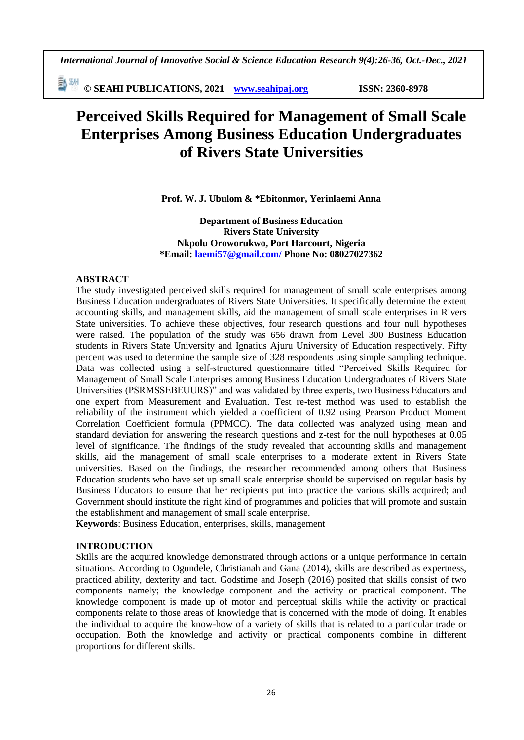勤細 **© SEAHI PUBLICATIONS, 2021 [www.seahipaj.org](http://www.seahipaj.org/) ISSN: 2360-8978**

# **Perceived Skills Required for Management of Small Scale Enterprises Among Business Education Undergraduates of Rivers State Universities**

**Prof. W. J. Ubulom & \*Ebitonmor, Yerinlaemi Anna**

**Department of Business Education Rivers State University Nkpolu Oroworukwo, Port Harcourt, Nigeria \*Email: [laemi57@gmail.com/](mailto:laemi57@gmail.com/) Phone No: 08027027362**

#### **ABSTRACT**

The study investigated perceived skills required for management of small scale enterprises among Business Education undergraduates of Rivers State Universities. It specifically determine the extent accounting skills, and management skills, aid the management of small scale enterprises in Rivers State universities. To achieve these objectives, four research questions and four null hypotheses were raised. The population of the study was 656 drawn from Level 300 Business Education students in Rivers State University and Ignatius Ajuru University of Education respectively. Fifty percent was used to determine the sample size of 328 respondents using simple sampling technique. Data was collected using a self-structured questionnaire titled "Perceived Skills Required for Management of Small Scale Enterprises among Business Education Undergraduates of Rivers State Universities (PSRMSSEBEUURS)" and was validated by three experts, two Business Educators and one expert from Measurement and Evaluation. Test re-test method was used to establish the reliability of the instrument which yielded a coefficient of 0.92 using Pearson Product Moment Correlation Coefficient formula (PPMCC). The data collected was analyzed using mean and standard deviation for answering the research questions and z-test for the null hypotheses at 0.05 level of significance. The findings of the study revealed that accounting skills and management skills, aid the management of small scale enterprises to a moderate extent in Rivers State universities. Based on the findings, the researcher recommended among others that Business Education students who have set up small scale enterprise should be supervised on regular basis by Business Educators to ensure that her recipients put into practice the various skills acquired; and Government should institute the right kind of programmes and policies that will promote and sustain the establishment and management of small scale enterprise.

**Keywords**: Business Education, enterprises, skills, management

#### **INTRODUCTION**

Skills are the acquired knowledge demonstrated through actions or a unique performance in certain situations. According to Ogundele, Christianah and Gana (2014), skills are described as expertness, practiced ability, dexterity and tact. Godstime and Joseph (2016) posited that skills consist of two components namely; the knowledge component and the activity or practical component. The knowledge component is made up of motor and perceptual skills while the activity or practical components relate to those areas of knowledge that is concerned with the mode of doing. It enables the individual to acquire the know-how of a variety of skills that is related to a particular trade or occupation. Both the knowledge and activity or practical components combine in different proportions for different skills.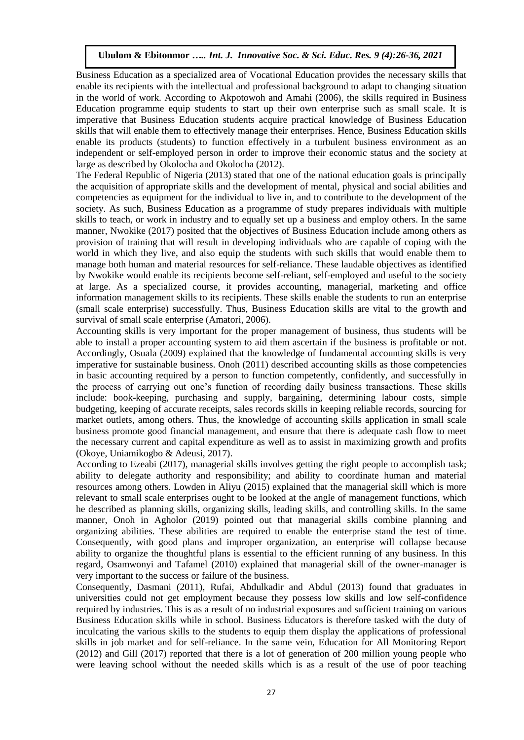Business Education as a specialized area of Vocational Education provides the necessary skills that enable its recipients with the intellectual and professional background to adapt to changing situation in the world of work. According to Akpotowoh and Amahi (2006), the skills required in Business Education programme equip students to start up their own enterprise such as small scale. It is imperative that Business Education students acquire practical knowledge of Business Education skills that will enable them to effectively manage their enterprises. Hence, Business Education skills enable its products (students) to function effectively in a turbulent business environment as an independent or self-employed person in order to improve their economic status and the society at large as described by Okolocha and Okolocha (2012).

The Federal Republic of Nigeria (2013) stated that one of the national education goals is principally the acquisition of appropriate skills and the development of mental, physical and social abilities and competencies as equipment for the individual to live in, and to contribute to the development of the society. As such, Business Education as a programme of study prepares individuals with multiple skills to teach, or work in industry and to equally set up a business and employ others. In the same manner, Nwokike (2017) posited that the objectives of Business Education include among others as provision of training that will result in developing individuals who are capable of coping with the world in which they live, and also equip the students with such skills that would enable them to manage both human and material resources for self-reliance. These laudable objectives as identified by Nwokike would enable its recipients become self-reliant, self-employed and useful to the society at large. As a specialized course, it provides accounting, managerial, marketing and office information management skills to its recipients. These skills enable the students to run an enterprise (small scale enterprise) successfully. Thus, Business Education skills are vital to the growth and survival of small scale enterprise (Amatori, 2006).

Accounting skills is very important for the proper management of business, thus students will be able to install a proper accounting system to aid them ascertain if the business is profitable or not. Accordingly, Osuala (2009) explained that the knowledge of fundamental accounting skills is very imperative for sustainable business. Onoh (2011) described accounting skills as those competencies in basic accounting required by a person to function competently, confidently, and successfully in the process of carrying out one's function of recording daily business transactions. These skills include: book-keeping, purchasing and supply, bargaining, determining labour costs, simple budgeting, keeping of accurate receipts, sales records skills in keeping reliable records, sourcing for market outlets, among others. Thus, the knowledge of accounting skills application in small scale business promote good financial management, and ensure that there is adequate cash flow to meet the necessary current and capital expenditure as well as to assist in maximizing growth and profits (Okoye, Uniamikogbo & Adeusi, 2017).

According to Ezeabi (2017), managerial skills involves getting the right people to accomplish task; ability to delegate authority and responsibility; and ability to coordinate human and material resources among others. Lowden in Aliyu (2015) explained that the managerial skill which is more relevant to small scale enterprises ought to be looked at the angle of management functions, which he described as planning skills, organizing skills, leading skills, and controlling skills. In the same manner, Onoh in Agholor (2019) pointed out that managerial skills combine planning and organizing abilities. These abilities are required to enable the enterprise stand the test of time. Consequently, with good plans and improper organization, an enterprise will collapse because ability to organize the thoughtful plans is essential to the efficient running of any business. In this regard, Osamwonyi and Tafamel (2010) explained that managerial skill of the owner-manager is very important to the success or failure of the business.

Consequently, Dasmani (2011), Rufai, Abdulkadir and Abdul (2013) found that graduates in universities could not get employment because they possess low skills and low self-confidence required by industries. This is as a result of no industrial exposures and sufficient training on various Business Education skills while in school. Business Educators is therefore tasked with the duty of inculcating the various skills to the students to equip them display the applications of professional skills in job market and for self-reliance. In the same vein, Education for All Monitoring Report (2012) and Gill (2017) reported that there is a lot of generation of 200 million young people who were leaving school without the needed skills which is as a result of the use of poor teaching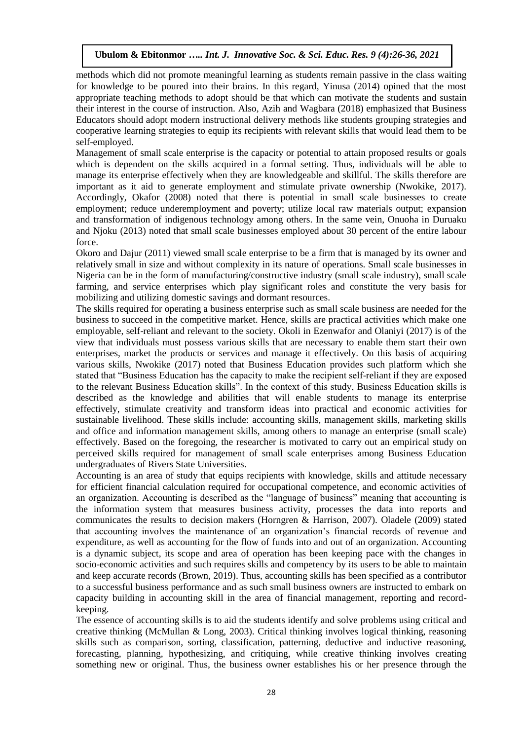methods which did not promote meaningful learning as students remain passive in the class waiting for knowledge to be poured into their brains. In this regard, Yinusa (2014) opined that the most appropriate teaching methods to adopt should be that which can motivate the students and sustain their interest in the course of instruction. Also, Azih and Wagbara (2018) emphasized that Business Educators should adopt modern instructional delivery methods like students grouping strategies and cooperative learning strategies to equip its recipients with relevant skills that would lead them to be self-employed.

Management of small scale enterprise is the capacity or potential to attain proposed results or goals which is dependent on the skills acquired in a formal setting. Thus, individuals will be able to manage its enterprise effectively when they are knowledgeable and skillful. The skills therefore are important as it aid to generate employment and stimulate private ownership (Nwokike, 2017). Accordingly, Okafor (2008) noted that there is potential in small scale businesses to create employment; reduce underemployment and poverty; utilize local raw materials output; expansion and transformation of indigenous technology among others. In the same vein, Onuoha in Duruaku and Njoku (2013) noted that small scale businesses employed about 30 percent of the entire labour force.

Okoro and Dajur (2011) viewed small scale enterprise to be a firm that is managed by its owner and relatively small in size and without complexity in its nature of operations. Small scale businesses in Nigeria can be in the form of manufacturing/constructive industry (small scale industry), small scale farming, and service enterprises which play significant roles and constitute the very basis for mobilizing and utilizing domestic savings and dormant resources.

The skills required for operating a business enterprise such as small scale business are needed for the business to succeed in the competitive market. Hence, skills are practical activities which make one employable, self-reliant and relevant to the society. Okoli in Ezenwafor and Olaniyi (2017) is of the view that individuals must possess various skills that are necessary to enable them start their own enterprises, market the products or services and manage it effectively. On this basis of acquiring various skills, Nwokike (2017) noted that Business Education provides such platform which she stated that "Business Education has the capacity to make the recipient self-reliant if they are exposed to the relevant Business Education skills". In the context of this study, Business Education skills is described as the knowledge and abilities that will enable students to manage its enterprise effectively, stimulate creativity and transform ideas into practical and economic activities for sustainable livelihood. These skills include: accounting skills, management skills, marketing skills and office and information management skills, among others to manage an enterprise (small scale) effectively. Based on the foregoing, the researcher is motivated to carry out an empirical study on perceived skills required for management of small scale enterprises among Business Education undergraduates of Rivers State Universities.

Accounting is an area of study that equips recipients with knowledge, skills and attitude necessary for efficient financial calculation required for occupational competence, and economic activities of an organization. Accounting is described as the "language of business" meaning that accounting is the information system that measures business activity, processes the data into reports and communicates the results to decision makers (Horngren & Harrison, 2007). Oladele (2009) stated that accounting involves the maintenance of an organization's financial records of revenue and expenditure, as well as accounting for the flow of funds into and out of an organization. Accounting is a dynamic subject, its scope and area of operation has been keeping pace with the changes in socio-economic activities and such requires skills and competency by its users to be able to maintain and keep accurate records (Brown, 2019). Thus, accounting skills has been specified as a contributor to a successful business performance and as such small business owners are instructed to embark on capacity building in accounting skill in the area of financial management, reporting and recordkeeping.

The essence of accounting skills is to aid the students identify and solve problems using critical and creative thinking (McMullan & Long, 2003). Critical thinking involves logical thinking, reasoning skills such as comparison, sorting, classification, patterning, deductive and inductive reasoning, forecasting, planning, hypothesizing, and critiquing, while creative thinking involves creating something new or original. Thus, the business owner establishes his or her presence through the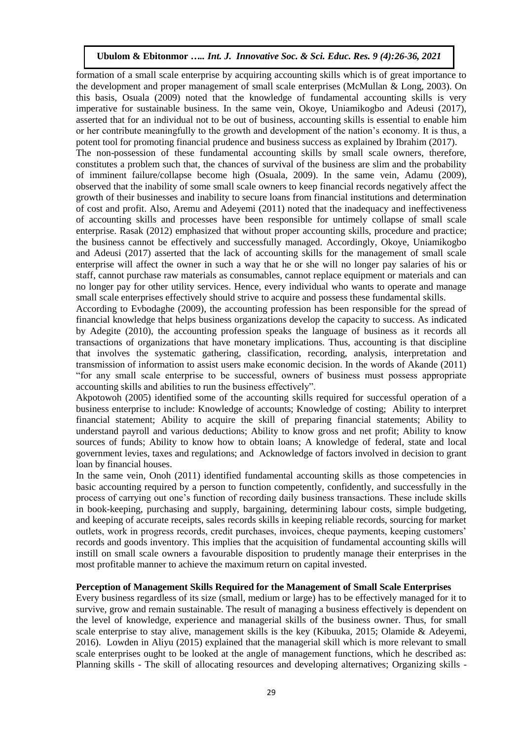formation of a small scale enterprise by acquiring accounting skills which is of great importance to the development and proper management of small scale enterprises (McMullan & Long, 2003). On this basis, Osuala (2009) noted that the knowledge of fundamental accounting skills is very imperative for sustainable business. In the same vein, Okoye, Uniamikogbo and Adeusi (2017), asserted that for an individual not to be out of business, accounting skills is essential to enable him or her contribute meaningfully to the growth and development of the nation's economy. It is thus, a potent tool for promoting financial prudence and business success as explained by Ibrahim (2017). The non-possession of these fundamental accounting skills by small scale owners, therefore, constitutes a problem such that, the chances of survival of the business are slim and the probability of imminent failure/collapse become high (Osuala, 2009). In the same vein, Adamu (2009), observed that the inability of some small scale owners to keep financial records negatively affect the growth of their businesses and inability to secure loans from financial institutions and determination of cost and profit. Also, Aremu and Adeyemi (2011) noted that the inadequacy and ineffectiveness of accounting skills and processes have been responsible for untimely collapse of small scale enterprise. Rasak (2012) emphasized that without proper accounting skills, procedure and practice; the business cannot be effectively and successfully managed. Accordingly, Okoye, Uniamikogbo and Adeusi (2017) asserted that the lack of accounting skills for the management of small scale enterprise will affect the owner in such a way that he or she will no longer pay salaries of his or staff, cannot purchase raw materials as consumables, cannot replace equipment or materials and can no longer pay for other utility services. Hence, every individual who wants to operate and manage small scale enterprises effectively should strive to acquire and possess these fundamental skills.

According to Evbodaghe (2009), the accounting profession has been responsible for the spread of financial knowledge that helps business organizations develop the capacity to success. As indicated by Adegite (2010), the accounting profession speaks the language of business as it records all transactions of organizations that have monetary implications. Thus, accounting is that discipline that involves the systematic gathering, classification, recording, analysis, interpretation and transmission of information to assist users make economic decision. In the words of Akande (2011) "for any small scale enterprise to be successful, owners of business must possess appropriate accounting skills and abilities to run the business effectively".

Akpotowoh (2005) identified some of the accounting skills required for successful operation of a business enterprise to include: Knowledge of accounts; Knowledge of costing; Ability to interpret financial statement; Ability to acquire the skill of preparing financial statements; Ability to understand payroll and various deductions; Ability to know gross and net profit; Ability to know sources of funds; Ability to know how to obtain loans; A knowledge of federal, state and local government levies, taxes and regulations; and Acknowledge of factors involved in decision to grant loan by financial houses.

In the same vein, Onoh (2011) identified fundamental accounting skills as those competencies in basic accounting required by a person to function competently, confidently, and successfully in the process of carrying out one's function of recording daily business transactions. These include skills in book-keeping, purchasing and supply, bargaining, determining labour costs, simple budgeting, and keeping of accurate receipts, sales records skills in keeping reliable records, sourcing for market outlets, work in progress records, credit purchases, invoices, cheque payments, keeping customers' records and goods inventory. This implies that the acquisition of fundamental accounting skills will instill on small scale owners a favourable disposition to prudently manage their enterprises in the most profitable manner to achieve the maximum return on capital invested.

#### **Perception of Management Skills Required for the Management of Small Scale Enterprises**

Every business regardless of its size (small, medium or large) has to be effectively managed for it to survive, grow and remain sustainable. The result of managing a business effectively is dependent on the level of knowledge, experience and managerial skills of the business owner. Thus, for small scale enterprise to stay alive, management skills is the key (Kibuuka, 2015; Olamide & Adeyemi, 2016). Lowden in Aliyu (2015) explained that the managerial skill which is more relevant to small scale enterprises ought to be looked at the angle of management functions, which he described as: Planning skills - The skill of allocating resources and developing alternatives; Organizing skills -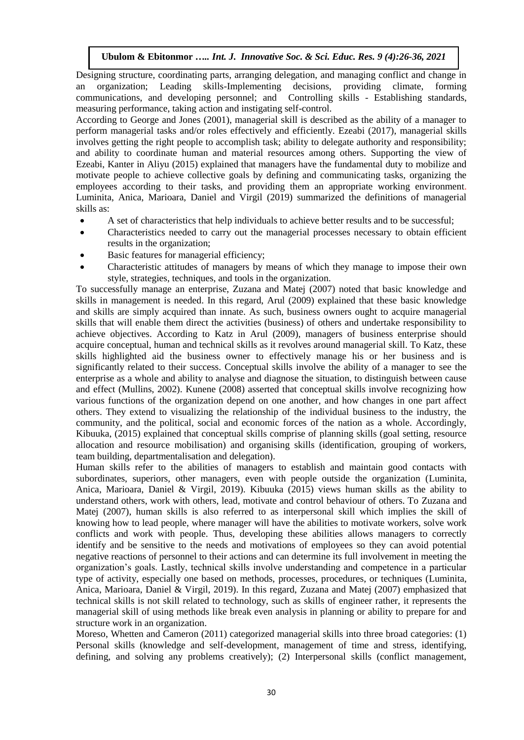Designing structure, coordinating parts, arranging delegation, and managing conflict and change in an organization; Leading skills-Implementing decisions, providing climate, forming communications, and developing personnel; and Controlling skills - Establishing standards, measuring performance, taking action and instigating self-control.

According to George and Jones (2001), managerial skill is described as the ability of a manager to perform managerial tasks and/or roles effectively and efficiently. Ezeabi (2017), managerial skills involves getting the right people to accomplish task; ability to delegate authority and responsibility; and ability to coordinate human and material resources among others. Supporting the view of Ezeabi, Kanter in Aliyu (2015) explained that managers have the fundamental duty to mobilize and motivate people to achieve collective goals by defining and communicating tasks, organizing the employees according to their tasks, and providing them an appropriate working environment. Luminita, Anica, Marioara, Daniel and Virgil (2019) summarized the definitions of managerial skills as:

- A set of characteristics that help individuals to achieve better results and to be successful;
- Characteristics needed to carry out the managerial processes necessary to obtain efficient results in the organization;
- Basic features for managerial efficiency;
- Characteristic attitudes of managers by means of which they manage to impose their own style, strategies, techniques, and tools in the organization.

To successfully manage an enterprise, Zuzana and Matej (2007) noted that basic knowledge and skills in management is needed. In this regard, Arul (2009) explained that these basic knowledge and skills are simply acquired than innate. As such, business owners ought to acquire managerial skills that will enable them direct the activities (business) of others and undertake responsibility to achieve objectives. According to Katz in Arul (2009), managers of business enterprise should acquire conceptual, human and technical skills as it revolves around managerial skill. To Katz, these skills highlighted aid the business owner to effectively manage his or her business and is significantly related to their success. Conceptual skills involve the ability of a manager to see the enterprise as a whole and ability to analyse and diagnose the situation, to distinguish between cause and effect (Mullins, 2002). Kunene (2008) asserted that conceptual skills involve recognizing how various functions of the organization depend on one another, and how changes in one part affect others. They extend to visualizing the relationship of the individual business to the industry, the community, and the political, social and economic forces of the nation as a whole. Accordingly, Kibuuka, (2015) explained that conceptual skills comprise of planning skills (goal setting, resource allocation and resource mobilisation) and organising skills (identification, grouping of workers, team building, departmentalisation and delegation).

Human skills refer to the abilities of managers to establish and maintain good contacts with subordinates, superiors, other managers, even with people outside the organization (Luminita, Anica, Marioara, Daniel & Virgil, 2019). Kibuuka (2015) views human skills as the ability to understand others, work with others, lead, motivate and control behaviour of others. To Zuzana and Matej (2007), human skills is also referred to as interpersonal skill which implies the skill of knowing how to lead people, where manager will have the abilities to motivate workers, solve work conflicts and work with people. Thus, developing these abilities allows managers to correctly identify and be sensitive to the needs and motivations of employees so they can avoid potential negative reactions of personnel to their actions and can determine its full involvement in meeting the organization's goals. Lastly, technical skills involve understanding and competence in a particular type of activity, especially one based on methods, processes, procedures, or techniques (Luminita, Anica, Marioara, Daniel & Virgil, 2019). In this regard, Zuzana and Matej (2007) emphasized that technical skills is not skill related to technology, such as skills of engineer rather, it represents the managerial skill of using methods like break even analysis in planning or ability to prepare for and structure work in an organization.

Moreso, Whetten and Cameron (2011) categorized managerial skills into three broad categories: (1) Personal skills (knowledge and self-development, management of time and stress, identifying, defining, and solving any problems creatively); (2) Interpersonal skills (conflict management,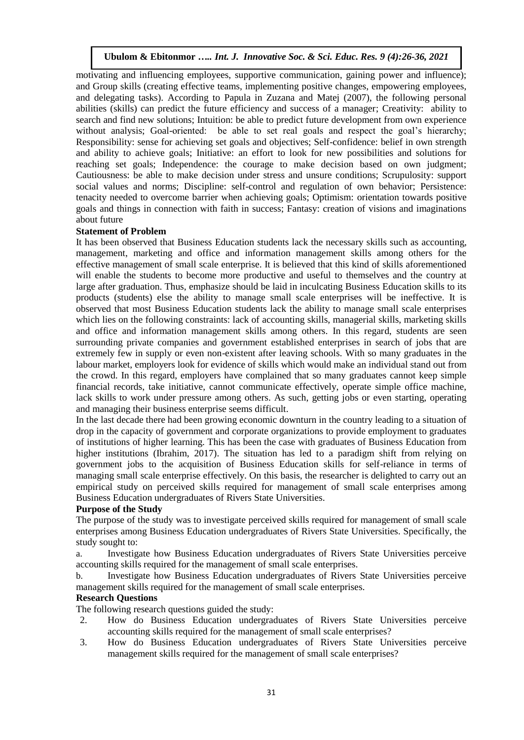motivating and influencing employees, supportive communication, gaining power and influence); and Group skills (creating effective teams, implementing positive changes, empowering employees, and delegating tasks). According to Papula in Zuzana and Matej (2007), the following personal abilities (skills) can predict the future efficiency and success of a manager; Creativity: ability to search and find new solutions; Intuition: be able to predict future development from own experience without analysis; Goal-oriented: be able to set real goals and respect the goal's hierarchy; Responsibility: sense for achieving set goals and objectives; Self-confidence: belief in own strength and ability to achieve goals; Initiative: an effort to look for new possibilities and solutions for reaching set goals; Independence: the courage to make decision based on own judgment; Cautiousness: be able to make decision under stress and unsure conditions; Scrupulosity: support social values and norms; Discipline: self-control and regulation of own behavior; Persistence: tenacity needed to overcome barrier when achieving goals; Optimism: orientation towards positive goals and things in connection with faith in success; Fantasy: creation of visions and imaginations about future

#### **Statement of Problem**

It has been observed that Business Education students lack the necessary skills such as accounting, management, marketing and office and information management skills among others for the effective management of small scale enterprise. It is believed that this kind of skills aforementioned will enable the students to become more productive and useful to themselves and the country at large after graduation. Thus, emphasize should be laid in inculcating Business Education skills to its products (students) else the ability to manage small scale enterprises will be ineffective. It is observed that most Business Education students lack the ability to manage small scale enterprises which lies on the following constraints: lack of accounting skills, managerial skills, marketing skills and office and information management skills among others. In this regard, students are seen surrounding private companies and government established enterprises in search of jobs that are extremely few in supply or even non-existent after leaving schools. With so many graduates in the labour market, employers look for evidence of skills which would make an individual stand out from the crowd. In this regard, employers have complained that so many graduates cannot keep simple financial records, take initiative, cannot communicate effectively, operate simple office machine, lack skills to work under pressure among others. As such, getting jobs or even starting, operating and managing their business enterprise seems difficult.

In the last decade there had been growing economic downturn in the country leading to a situation of drop in the capacity of government and corporate organizations to provide employment to graduates of institutions of higher learning. This has been the case with graduates of Business Education from higher institutions (Ibrahim, 2017). The situation has led to a paradigm shift from relying on government jobs to the acquisition of Business Education skills for self-reliance in terms of managing small scale enterprise effectively. On this basis, the researcher is delighted to carry out an empirical study on perceived skills required for management of small scale enterprises among Business Education undergraduates of Rivers State Universities.

#### **Purpose of the Study**

The purpose of the study was to investigate perceived skills required for management of small scale enterprises among Business Education undergraduates of Rivers State Universities. Specifically, the study sought to:

a. Investigate how Business Education undergraduates of Rivers State Universities perceive accounting skills required for the management of small scale enterprises.

b. Investigate how Business Education undergraduates of Rivers State Universities perceive management skills required for the management of small scale enterprises.

#### **Research Questions**

The following research questions guided the study:

- 2. How do Business Education undergraduates of Rivers State Universities perceive accounting skills required for the management of small scale enterprises?
- 3. How do Business Education undergraduates of Rivers State Universities perceive management skills required for the management of small scale enterprises?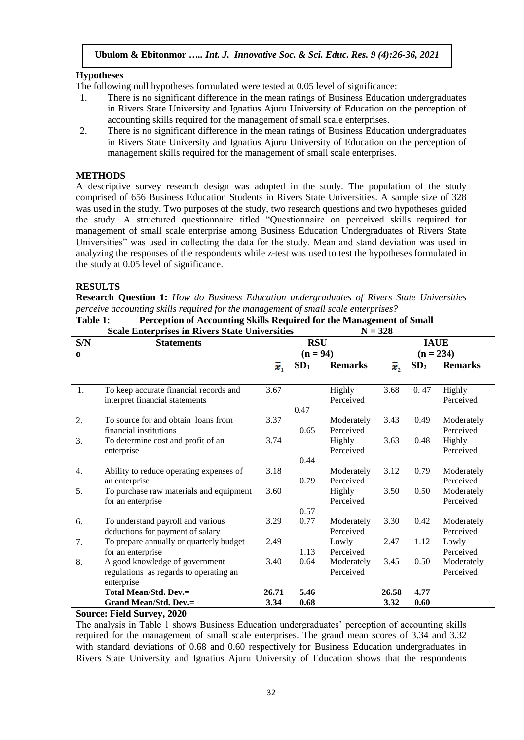# **Hypotheses**

The following null hypotheses formulated were tested at 0.05 level of significance:

- 1. There is no significant difference in the mean ratings of Business Education undergraduates in Rivers State University and Ignatius Ajuru University of Education on the perception of accounting skills required for the management of small scale enterprises.
- 2. There is no significant difference in the mean ratings of Business Education undergraduates in Rivers State University and Ignatius Ajuru University of Education on the perception of management skills required for the management of small scale enterprises.

# **METHODS**

A descriptive survey research design was adopted in the study. The population of the study comprised of 656 Business Education Students in Rivers State Universities. A sample size of 328 was used in the study. Two purposes of the study, two research questions and two hypotheses guided the study. A structured questionnaire titled "Questionnaire on perceived skills required for management of small scale enterprise among Business Education Undergraduates of Rivers State Universities" was used in collecting the data for the study. Mean and stand deviation was used in analyzing the responses of the respondents while z-test was used to test the hypotheses formulated in the study at 0.05 level of significance.

# **RESULTS**

**Research Question 1:** *How do Business Education undergraduates of Rivers State Universities perceive accounting skills required for the management of small scale enterprises?*

|          | <b>Scale Enterprises in Rivers State Universities</b> |             |                                   | $N = 328$  |             |                 |                |  |
|----------|-------------------------------------------------------|-------------|-----------------------------------|------------|-------------|-----------------|----------------|--|
| S/N      | <b>Statements</b>                                     |             | <b>RSU</b>                        |            | <b>IAUE</b> |                 |                |  |
| $\bf{0}$ |                                                       |             | $(n = 94)$                        |            |             | $(n = 234)$     |                |  |
|          |                                                       | $\bar{x}_1$ | SD <sub>1</sub><br><b>Remarks</b> |            | $\bar{x}$   | SD <sub>2</sub> | <b>Remarks</b> |  |
|          |                                                       |             |                                   |            |             |                 |                |  |
| 1.       | To keep accurate financial records and                | 3.67        |                                   | Highly     | 3.68        | 0.47            | Highly         |  |
|          | interpret financial statements                        |             |                                   | Perceived  |             |                 | Perceived      |  |
|          |                                                       |             | 0.47                              |            |             |                 |                |  |
| 2.       | To source for and obtain loans from                   | 3.37        |                                   | Moderately | 3.43        | 0.49            | Moderately     |  |
|          | financial institutions                                |             | 0.65                              | Perceived  |             |                 | Perceived      |  |
| 3.       | To determine cost and profit of an                    | 3.74        |                                   | Highly     | 3.63        | 0.48            | Highly         |  |
|          | enterprise                                            |             |                                   | Perceived  |             |                 | Perceived      |  |
|          |                                                       |             | 0.44                              |            |             |                 |                |  |
| 4.       | Ability to reduce operating expenses of               | 3.18        |                                   | Moderately | 3.12        | 0.79            | Moderately     |  |
|          | an enterprise                                         |             | 0.79                              | Perceived  |             |                 | Perceived      |  |
| 5.       | To purchase raw materials and equipment               | 3.60        |                                   | Highly     | 3.50        | 0.50            | Moderately     |  |
|          | for an enterprise                                     |             |                                   | Perceived  |             |                 | Perceived      |  |
|          |                                                       |             | 0.57                              |            |             |                 |                |  |
| 6.       | To understand payroll and various                     | 3.29        | 0.77                              | Moderately | 3.30        | 0.42            | Moderately     |  |
|          | deductions for payment of salary                      |             |                                   | Perceived  |             |                 | Perceived      |  |
| 7.       | To prepare annually or quarterly budget               | 2.49        |                                   | Lowly      | 2.47        | 1.12            | Lowly          |  |
|          | for an enterprise                                     |             | 1.13                              | Perceived  |             |                 | Perceived      |  |
| 8.       | A good knowledge of government                        | 3.40        | 0.64                              | Moderately | 3.45        | 0.50            | Moderately     |  |
|          | regulations as regards to operating an                |             |                                   | Perceived  |             |                 | Perceived      |  |
|          | enterprise                                            |             |                                   |            |             |                 |                |  |
|          | <b>Total Mean/Std. Dev.=</b>                          | 26.71       | 5.46                              |            | 26.58       | 4.77            |                |  |
| $\sim$   | <b>Grand Mean/Std. Dev.=</b><br><b>P</b> . 110<br>AA  | 3.34        | 0.68                              |            | 3.32        | 0.60            |                |  |

**Table 1: Perception of Accounting Skills Required for the Management of Small**

# **Source: Field Survey, 2020**

The analysis in Table 1 shows Business Education undergraduates' perception of accounting skills required for the management of small scale enterprises. The grand mean scores of 3.34 and 3.32 with standard deviations of 0.68 and 0.60 respectively for Business Education undergraduates in Rivers State University and Ignatius Ajuru University of Education shows that the respondents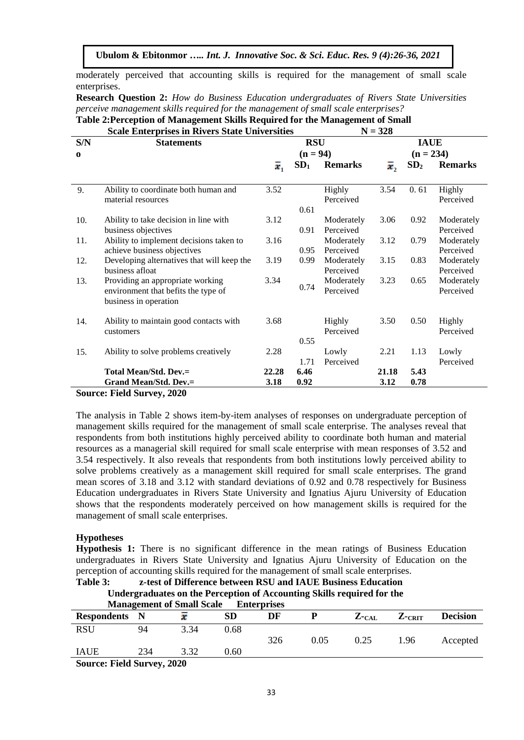moderately perceived that accounting skills is required for the management of small scale enterprises.

**Research Question 2:** *How do Business Education undergraduates of Rivers State Universities perceive management skills required for the management of small scale enterprises?*

|          | <b>Scale Enterprises in Rivers State Universities</b>                                            |             | $N = 328$       |                         |             |                 |                         |  |
|----------|--------------------------------------------------------------------------------------------------|-------------|-----------------|-------------------------|-------------|-----------------|-------------------------|--|
| S/N      | <b>Statements</b>                                                                                |             | <b>RSU</b>      |                         | <b>IAUE</b> |                 |                         |  |
| $\bf{0}$ |                                                                                                  |             | $(n = 94)$      |                         | $(n = 234)$ |                 |                         |  |
|          |                                                                                                  | $\bar{x}_1$ | SD <sub>1</sub> | <b>Remarks</b>          | ī,          | SD <sub>2</sub> | <b>Remarks</b>          |  |
| 9.       | Ability to coordinate both human and<br>material resources                                       | 3.52        | 0.61            | Highly<br>Perceived     | 3.54        | 0.61            | Highly<br>Perceived     |  |
| 10.      | Ability to take decision in line with<br>business objectives                                     | 3.12        | 0.91            | Moderately<br>Perceived | 3.06        | 0.92            | Moderately<br>Perceived |  |
| 11.      | Ability to implement decisions taken to<br>achieve business objectives                           | 3.16        | 0.95            | Moderately<br>Perceived | 3.12        | 0.79            | Moderately<br>Perceived |  |
| 12.      | Developing alternatives that will keep the<br>business afloat                                    | 3.19        | 0.99            | Moderately<br>Perceived | 3.15        | 0.83            | Moderately<br>Perceived |  |
| 13.      | Providing an appropriate working<br>environment that befits the type of<br>business in operation | 3.34        | 0.74            | Moderately<br>Perceived | 3.23        | 0.65            | Moderately<br>Perceived |  |
| 14.      | Ability to maintain good contacts with<br>customers                                              | 3.68        |                 | Highly<br>Perceived     | 3.50        | 0.50            | Highly<br>Perceived     |  |
| 15.      | Ability to solve problems creatively                                                             | 2.28        | 0.55<br>1.71    | Lowly<br>Perceived      | 2.21        | 1.13            | Lowly<br>Perceived      |  |
|          | <b>Total Mean/Std. Dev.=</b>                                                                     | 22.28       | 6.46            |                         | 21.18       | 5.43            |                         |  |
|          | <b>Grand Mean/Std. Dev.=</b>                                                                     | 3.18        | 0.92            |                         | 3.12        | 0.78            |                         |  |
|          | <b>Source: Field Survey, 2020</b>                                                                |             |                 |                         |             |                 |                         |  |

**Table 2:Perception of Management Skills Required for the Management of Small**

The analysis in Table 2 shows item-by-item analyses of responses on undergraduate perception of management skills required for the management of small scale enterprise. The analyses reveal that respondents from both institutions highly perceived ability to coordinate both human and material resources as a managerial skill required for small scale enterprise with mean responses of 3.52 and 3.54 respectively. It also reveals that respondents from both institutions lowly perceived ability to solve problems creatively as a management skill required for small scale enterprises. The grand mean scores of 3.18 and 3.12 with standard deviations of 0.92 and 0.78 respectively for Business Education undergraduates in Rivers State University and Ignatius Ajuru University of Education shows that the respondents moderately perceived on how management skills is required for the management of small scale enterprises.

#### **Hypotheses**

**Hypothesis 1:** There is no significant difference in the mean ratings of Business Education undergraduates in Rivers State University and Ignatius Ajuru University of Education on the perception of accounting skills required for the management of small scale enterprises.

**Table 3: z-test of Difference between RSU and IAUE Business Education**

|                                  | Undergraduates on the Perception of Accounting Skills required for the |
|----------------------------------|------------------------------------------------------------------------|
| <b>Management of Small Scale</b> | <b>Enterprises</b>                                                     |

| widnesthicht of bhian beare<br><b>LAULT PLASS</b> |     |      |      |     |      |                    |           |                 |  |
|---------------------------------------------------|-----|------|------|-----|------|--------------------|-----------|-----------------|--|
| <b>Respondents</b>                                |     |      | SD   | DF  |      | $Z$ - $_{\rm CAL}$ | $Z$ -CRIT | <b>Decision</b> |  |
| RSU                                               | 94  | 3.34 | 0.68 |     |      |                    |           |                 |  |
|                                                   |     |      |      | 326 | 0.05 | 0.25               | .96       | Accepted        |  |
| <b>IAUE</b>                                       | 234 | 3.32 | 0.60 |     |      |                    |           |                 |  |
| Source: Field Survey 2020                         |     |      |      |     |      |                    |           |                 |  |

**Source: Field Survey, 2020**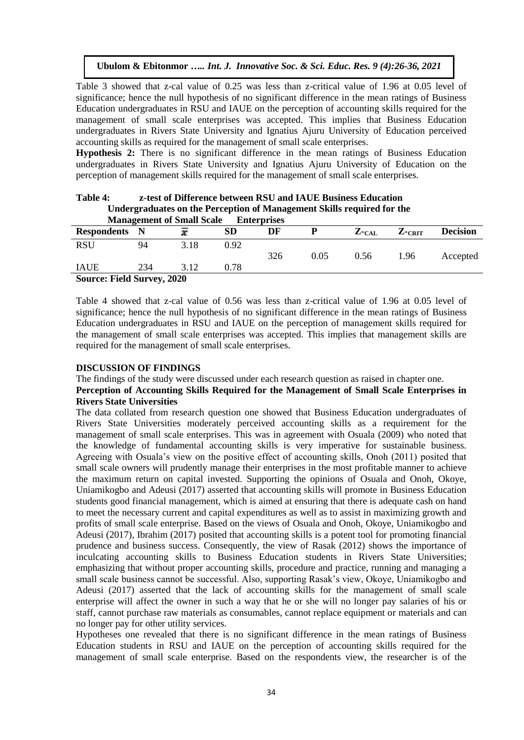Table 3 showed that z-cal value of 0.25 was less than z-critical value of 1.96 at 0.05 level of significance; hence the null hypothesis of no significant difference in the mean ratings of Business Education undergraduates in RSU and IAUE on the perception of accounting skills required for the management of small scale enterprises was accepted. This implies that Business Education undergraduates in Rivers State University and Ignatius Ajuru University of Education perceived accounting skills as required for the management of small scale enterprises.

**Hypothesis 2:** There is no significant difference in the mean ratings of Business Education undergraduates in Rivers State University and Ignatius Ajuru University of Education on the perception of management skills required for the management of small scale enterprises.

| Undergraduates on the Perception of Management Skills required for the<br><b>Management of Small Scale</b><br><b>Enterprises</b> |     |      |      |     |      |      |      |          |  |
|----------------------------------------------------------------------------------------------------------------------------------|-----|------|------|-----|------|------|------|----------|--|
|                                                                                                                                  |     |      |      |     |      |      |      |          |  |
| <b>RSU</b>                                                                                                                       | 94  | 3.18 | 0.92 |     |      |      |      |          |  |
|                                                                                                                                  |     |      |      | 326 | 0.05 | 0.56 | 1.96 | Accepted |  |
| <b>IAUE</b>                                                                                                                      | 234 | 3.12 | 0.78 |     |      |      |      |          |  |
| <b>Source: Field Survey, 2020</b>                                                                                                |     |      |      |     |      |      |      |          |  |

# **Table 4: z-test of Difference between RSU and IAUE Business Education**

# Table 4 showed that z-cal value of 0.56 was less than z-critical value of 1.96 at 0.05 level of significance; hence the null hypothesis of no significant difference in the mean ratings of Business Education undergraduates in RSU and IAUE on the perception of management skills required for the management of small scale enterprises was accepted. This implies that management skills are required for the management of small scale enterprises.

# **DISCUSSION OF FINDINGS**

#### The findings of the study were discussed under each research question as raised in chapter one. **Perception of Accounting Skills Required for the Management of Small Scale Enterprises in Rivers State Universities**

The data collated from research question one showed that Business Education undergraduates of Rivers State Universities moderately perceived accounting skills as a requirement for the management of small scale enterprises. This was in agreement with Osuala (2009) who noted that the knowledge of fundamental accounting skills is very imperative for sustainable business. Agreeing with Osuala's view on the positive effect of accounting skills, Onoh (2011) posited that small scale owners will prudently manage their enterprises in the most profitable manner to achieve the maximum return on capital invested. Supporting the opinions of Osuala and Onoh, Okoye, Uniamikogbo and Adeusi (2017) asserted that accounting skills will promote in Business Education students good financial management, which is aimed at ensuring that there is adequate cash on hand to meet the necessary current and capital expenditures as well as to assist in maximizing growth and profits of small scale enterprise. Based on the views of Osuala and Onoh, Okoye, Uniamikogbo and Adeusi (2017), Ibrahim (2017) posited that accounting skills is a potent tool for promoting financial prudence and business success. Consequently, the view of Rasak (2012) shows the importance of inculcating accounting skills to Business Education students in Rivers State Universities; emphasizing that without proper accounting skills, procedure and practice, running and managing a small scale business cannot be successful. Also, supporting Rasak's view, Okoye, Uniamikogbo and Adeusi (2017) asserted that the lack of accounting skills for the management of small scale enterprise will affect the owner in such a way that he or she will no longer pay salaries of his or staff, cannot purchase raw materials as consumables, cannot replace equipment or materials and can no longer pay for other utility services.

Hypotheses one revealed that there is no significant difference in the mean ratings of Business Education students in RSU and IAUE on the perception of accounting skills required for the management of small scale enterprise. Based on the respondents view, the researcher is of the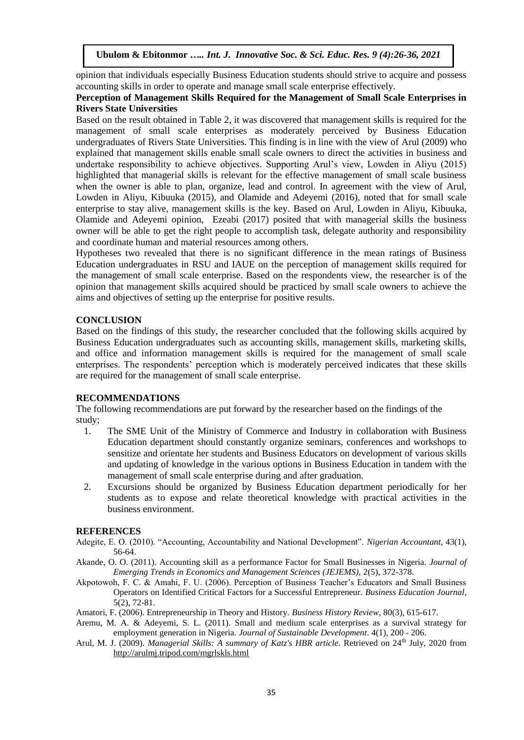opinion that individuals especially Business Education students should strive to acquire and possess accounting skills in order to operate and manage small scale enterprise effectively.

# **Perception of Management Skills Required for the Management of Small Scale Enterprises in Rivers State Universities**

Based on the result obtained in Table 2, it was discovered that management skills is required for the management of small scale enterprises as moderately perceived by Business Education undergraduates of Rivers State Universities. This finding is in line with the view of Arul (2009) who explained that management skills enable small scale owners to direct the activities in business and undertake responsibility to achieve objectives. Supporting Arul's view, Lowden in Aliyu (2015) highlighted that managerial skills is relevant for the effective management of small scale business when the owner is able to plan, organize, lead and control. In agreement with the view of Arul, Lowden in Aliyu, Kibuuka (2015), and Olamide and Adeyemi (2016), noted that for small scale enterprise to stay alive, management skills is the key. Based on Arul, Lowden in Aliyu, Kibuuka, Olamide and Adeyemi opinion, Ezeabi (2017) posited that with managerial skills the business owner will be able to get the right people to accomplish task, delegate authority and responsibility and coordinate human and material resources among others.

Hypotheses two revealed that there is no significant difference in the mean ratings of Business Education undergraduates in RSU and IAUE on the perception of management skills required for the management of small scale enterprise. Based on the respondents view, the researcher is of the opinion that management skills acquired should be practiced by small scale owners to achieve the aims and objectives of setting up the enterprise for positive results.

# **CONCLUSION**

Based on the findings of this study, the researcher concluded that the following skills acquired by Business Education undergraduates such as accounting skills, management skills, marketing skills, and office and information management skills is required for the management of small scale enterprises. The respondents' perception which is moderately perceived indicates that these skills are required for the management of small scale enterprise.

# **RECOMMENDATIONS**

The following recommendations are put forward by the researcher based on the findings of the study;

- 1. The SME Unit of the Ministry of Commerce and Industry in collaboration with Business Education department should constantly organize seminars, conferences and workshops to sensitize and orientate her students and Business Educators on development of various skills and updating of knowledge in the various options in Business Education in tandem with the management of small scale enterprise during and after graduation.
- 2. Excursions should be organized by Business Education department periodically for her students as to expose and relate theoretical knowledge with practical activities in the business environment.

#### **REFERENCES**

- Adegite, E. O. (2010). "Accounting, Accountability and National Development". *Nigerian Accountant*, 43(1), 56-64.
- Akande, O. O. (2011). Accounting skill as a performance Factor for Small Businesses in Nigeria. *Journal of Emerging Trends in Economics and Management Sciences (JEJEMS),* 2(5), 372-378.
- Akpotowoh, F. C. & Amahi, F. U. (2006). Perception of Business Teacher's Educators and Small Business Operators on Identified Critical Factors for a Successful Entrepreneur. *Business Education Journal*, 5(2), 72-81.
- Amatori, F. (2006). Entrepreneurship in Theory and History. *Business History Review*, 80(3), 615-617.
- Aremu, M. A. & Adeyemi, S. L. (2011). Small and medium scale enterprises as a survival strategy for employment generation in Nigeria. *Journal of Sustainable Development*. 4(1), 200 - 206.
- Arul, M. J. (2009). *Managerial Skills: A summary of Katz's HBR article*. Retrieved on 24th July, 2020 from <http://arulmj.tripod.com/mgrlskls.html>